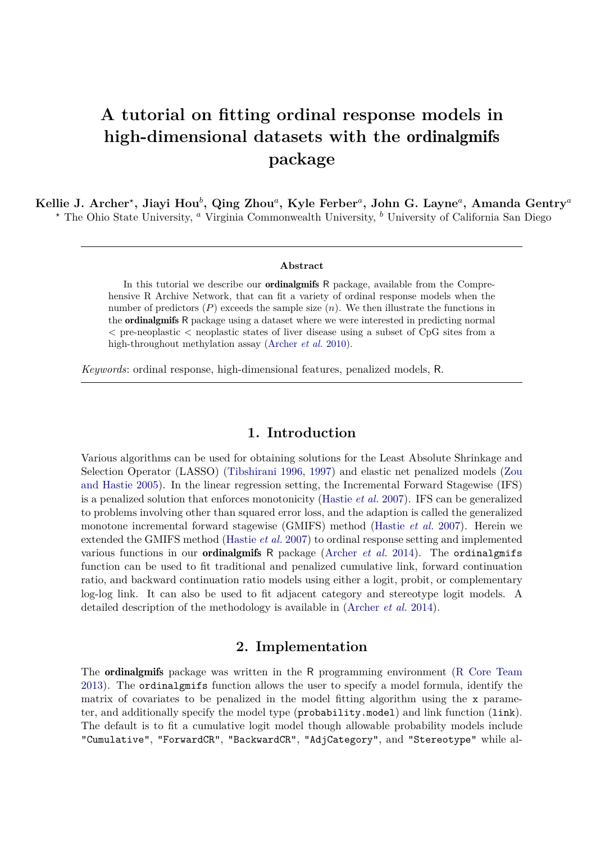# **A tutorial on fitting ordinal response models in high-dimensional datasets with the** ordinalgmifs **package**

**Kellie J. Archer***<sup>⋆</sup>* **, Jiayi Hou***<sup>b</sup>* **, Qing Zhou***<sup>a</sup>* **, Kyle Ferber***<sup>a</sup>* **, John G. Layne***<sup>a</sup>* **, Amanda Gentry***<sup>a</sup> <sup>⋆</sup>* The Ohio State University, *<sup>a</sup>* Virginia Commonwealth University, *<sup>b</sup>* University of California San Diego

#### **Abstract**

In this tutorial we describe our **ordinalgmifs** R package, available from the Comprehensive R Archive Network, that can fit a variety of ordinal response models when the number of predictors  $(P)$  exceeds the sample size  $(n)$ . We then illustrate the functions in the ordinalgmifs R package using a dataset where we were interested in predicting normal *<* pre-neoplastic *<* neoplastic states of liver disease using a subset of CpG sites from a high-throughout methylation assay [\(Archer](#page-7-0) *et al.* [2010\)](#page-7-0).

*Keywords*: ordinal response, high-dimensional features, penalized models, R.

# **1. Introduction**

Various algorithms can be used for obtaining solutions for the Least Absolute Shrinkage and Selection Operator (LASSO) [\(Tibshirani 1996,](#page-7-1) [1997\)](#page-7-2) and elastic net penalized models [\(Zou](#page-7-3) [and Hastie 2005\)](#page-7-3). In the linear regression setting, the Incremental Forward Stagewise (IFS) is a penalized solution that enforces monotonicity [\(Hastie](#page-7-4) *et al.* [2007\)](#page-7-4). IFS can be generalized to problems involving other than squared error loss, and the adaption is called the generalized monotone incremental forward stagewise (GMIFS) method [\(Hastie](#page-7-4) *et al.* [2007\)](#page-7-4). Herein we extended the GMIFS method [\(Hastie](#page-7-4) *et al.* [2007\)](#page-7-4) to ordinal response setting and implemented various functions in our ordinalgmifs R package [\(Archer](#page-7-5) *et al.* [2014\)](#page-7-5). The ordinalgmifs function can be used to fit traditional and penalized cumulative link, forward continuation ratio, and backward continuation ratio models using either a logit, probit, or complementary log-log link. It can also be used to fit adjacent category and stereotype logit models. A detailed description of the methodology is available in [\(Archer](#page-7-5) *et al.* [2014\)](#page-7-5).

### **2. Implementation**

The ordinalgmifs package was written in the R programming environment [\(R Core Team](#page-7-6) [2013\)](#page-7-6). The ordinalgmifs function allows the user to specify a model formula, identify the matrix of covariates to be penalized in the model fitting algorithm using the x parameter, and additionally specify the model type (probability.model) and link function (link). The default is to fit a cumulative logit model though allowable probability models include "Cumulative", "ForwardCR", "BackwardCR", "AdjCategory", and "Stereotype" while al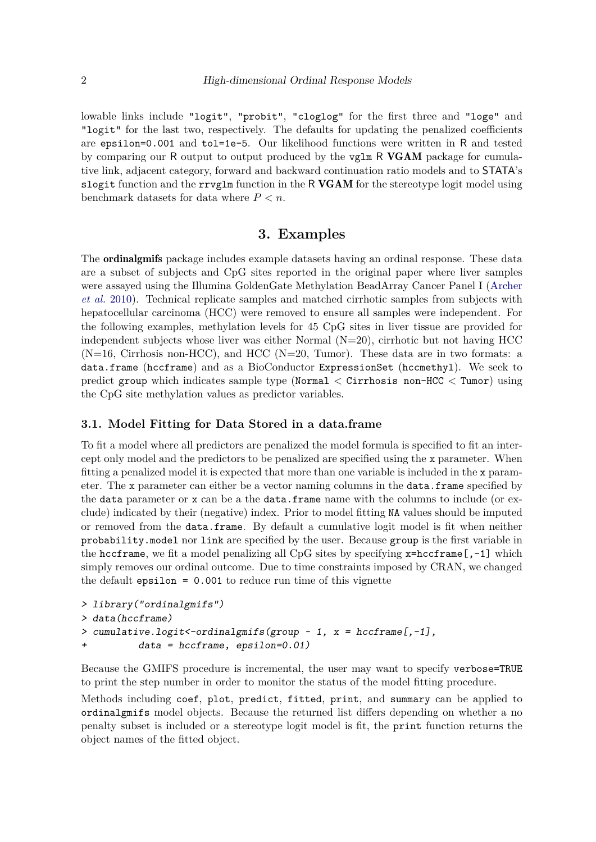lowable links include "logit", "probit", "cloglog" for the first three and "loge" and "logit" for the last two, respectively. The defaults for updating the penalized coefficients are epsilon=0.001 and tol=1e-5. Our likelihood functions were written in R and tested by comparing our R output to output produced by the vglm R VGAM package for cumulative link, adjacent category, forward and backward continuation ratio models and to STATA's slogit function and the  $rrvglm$  function in the R VGAM for the stereotype logit model using benchmark datasets for data where *P < n*.

# **3. Examples**

The ordinalgmifs package includes example datasets having an ordinal response. These data are a subset of subjects and CpG sites reported in the original paper where liver samples were assayed using the Illumina GoldenGate Methylation BeadArray Cancer Panel I [\(Archer](#page-7-0) *[et al.](#page-7-0)* [2010\)](#page-7-0). Technical replicate samples and matched cirrhotic samples from subjects with hepatocellular carcinoma (HCC) were removed to ensure all samples were independent. For the following examples, methylation levels for 45 CpG sites in liver tissue are provided for independent subjects whose liver was either Normal  $(N=20)$ , cirrhotic but not having HCC  $(N=16,$  Cirrhosis non-HCC), and HCC  $(N=20,$  Tumor). These data are in two formats: a data.frame (hccframe) and as a BioConductor ExpressionSet (hccmethyl). We seek to predict group which indicates sample type (Normal  $\lt$  Cirrhosis non-HCC  $\lt$  Tumor) using the CpG site methylation values as predictor variables.

#### **3.1. Model Fitting for Data Stored in a data.frame**

To fit a model where all predictors are penalized the model formula is specified to fit an intercept only model and the predictors to be penalized are specified using the x parameter. When fitting a penalized model it is expected that more than one variable is included in the x parameter. The x parameter can either be a vector naming columns in the data.frame specified by the data parameter or x can be a the data.frame name with the columns to include (or exclude) indicated by their (negative) index. Prior to model fitting NA values should be imputed or removed from the data.frame. By default a cumulative logit model is fit when neither probability.model nor link are specified by the user. Because group is the first variable in the hccframe, we fit a model penalizing all CpG sites by specifying  $x=hccf$ rame $[,-1]$  which simply removes our ordinal outcome. Due to time constraints imposed by CRAN, we changed the default epsilon = 0.001 to reduce run time of this vignette

```
> library("ordinalgmifs")
> data(hccframe)
> cumulative.logit <- ordinalgmifs (group \sim 1, x = \text{hccframe}[,-1],
+ data = hccframe, epsilon=0.01)
```
Because the GMIFS procedure is incremental, the user may want to specify verbose=TRUE to print the step number in order to monitor the status of the model fitting procedure.

Methods including coef, plot, predict, fitted, print, and summary can be applied to ordinalgmifs model objects. Because the returned list differs depending on whether a no penalty subset is included or a stereotype logit model is fit, the print function returns the object names of the fitted object.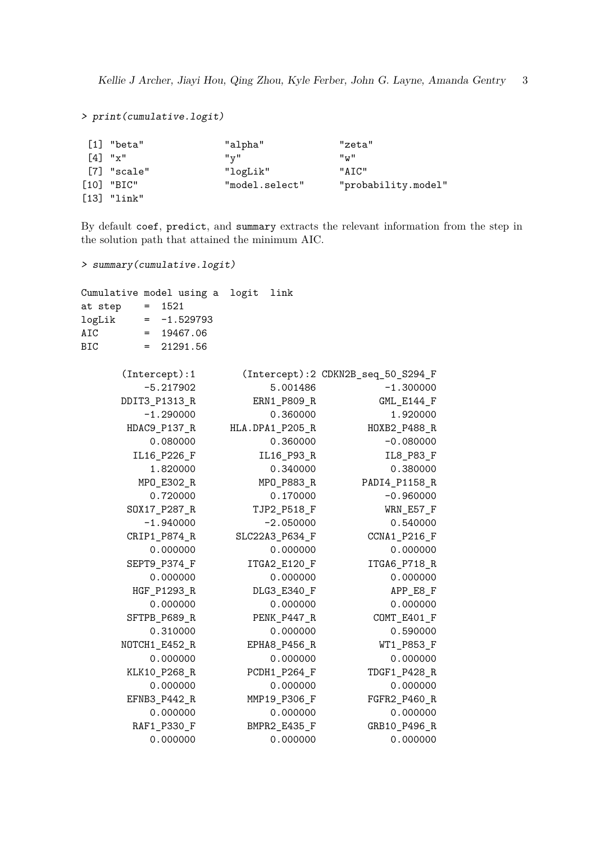```
> print(cumulative.logit)
```

| [1] "beta"            | "alpha"        | "zeta"              |
|-----------------------|----------------|---------------------|
| $\lceil 4 \rceil$ "x" | "v"            | "w"                 |
| [7] "scale"           | "logLik"       | "ATC"               |
| $[10]$ "BIC"          | "model.select" | "probability.model" |
| $[13]$ "link"         |                |                     |

By default coef, predict, and summary extracts the relevant information from the step in the solution path that attained the minimum AIC.

```
> summary(cumulative.logit)
```

|         |                                   | Cumulative model using a logit | link            |                                    |
|---------|-----------------------------------|--------------------------------|-----------------|------------------------------------|
| at step | $\hspace{1.6cm} = \hspace{1.6cm}$ | 1521                           |                 |                                    |
| logLik  |                                   | $= -1.529793$                  |                 |                                    |
| AIC     |                                   | $= 19467.06$                   |                 |                                    |
| BIC     |                                   | $= 21291.56$                   |                 |                                    |
|         |                                   | (Intercept): 1                 |                 | (Intercept):2 CDKN2B_seq_50_S294_F |
|         |                                   | $-5.217902$                    | 5.001486        | $-1.300000$                        |
|         |                                   | DDIT3_P1313_R                  | ERN1_P809_R     | GML_E144_F                         |
|         |                                   | $-1.290000$                    | 0.360000        | 1.920000                           |
|         |                                   | HDAC9_P137_R                   | HLA.DPA1_P205_R | HOXB2_P488_R                       |
|         |                                   | 0.080000                       | 0.360000        | $-0.080000$                        |
|         |                                   | IL16_P226_F                    | IL16_P93_R      | IL8_P83_F                          |
|         |                                   | 1.820000                       | 0.340000        | 0.380000                           |
|         |                                   | MPO_E302_R                     | MPO_P883_R      | PADI4_P1158_R                      |
|         |                                   | 0.720000                       | 0.170000        | $-0.960000$                        |
|         |                                   | SOX17_P287_R                   | TJP2_P518_F     | WRN_E57_F                          |
|         |                                   | $-1.940000$                    | $-2.050000$     | 0.540000                           |
|         |                                   | CRIP1_P874_R                   | SLC22A3_P634_F  | CCNA1_P216_F                       |
|         |                                   | 0.000000                       | 0.000000        | 0.000000                           |
|         |                                   | SEPT9_P374_F                   | ITGA2_E120_F    | ITGA6_P718_R                       |
|         |                                   | 0.000000                       | 0.000000        | 0.000000                           |
|         |                                   | HGF_P1293_R                    | DLG3_E340_F     | APP_E8_F                           |
|         |                                   | 0.000000                       | 0.000000        | 0.000000                           |
|         |                                   | SFTPB_P689_R                   | PENK_P447_R     | COMT_E401_F                        |
|         |                                   | 0.310000                       | 0.000000        | 0.590000                           |
|         |                                   | NOTCH1_E452_R                  | EPHA8_P456_R    | WT1_P853_F                         |
|         |                                   | 0.000000                       | 0.000000        | 0.000000                           |
|         |                                   | KLK10_P268_R                   | PCDH1_P264_F    | TDGF1_P428_R                       |
|         |                                   | 0.000000                       | 0.000000        | 0.000000                           |
|         |                                   | EFNB3_P442_R                   | MMP19_P306_F    | FGFR2_P460_R                       |
|         |                                   | 0.000000                       | 0.000000        | 0.000000                           |
|         |                                   | RAF1_P330_F                    | BMPR2_E435_F    | GRB10_P496_R                       |
|         |                                   | 0.000000                       | 0.000000        | 0.000000                           |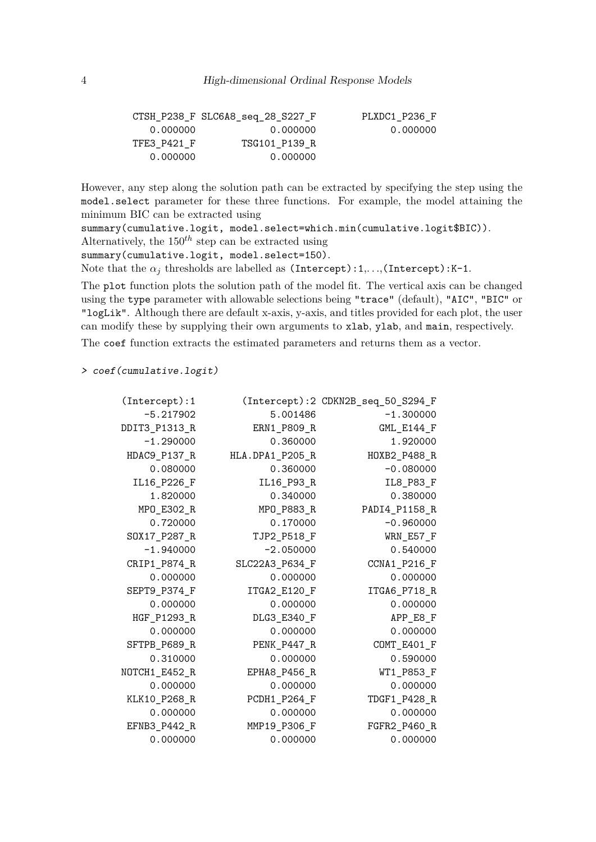|             | CTSH P238 F SLC6A8 seq 28 S227 F | PLXDC1 P236 F |
|-------------|----------------------------------|---------------|
| 0.000000    | 0.000000                         | 0.000000      |
| TFE3 P421 F | TSG101 P139 R                    |               |
| 0.000000    | 0.000000                         |               |

However, any step along the solution path can be extracted by specifying the step using the model.select parameter for these three functions. For example, the model attaining the minimum BIC can be extracted using

summary(cumulative.logit, model.select=which.min(cumulative.logit\$BIC)). Alternatively, the  $150^{th}$  step can be extracted using summary(cumulative.logit, model.select=150).

Note that the  $\alpha_j$  thresholds are labelled as (Intercept):1,...,(Intercept):K-1.

The plot function plots the solution path of the model fit. The vertical axis can be changed using the type parameter with allowable selections being "trace" (default), "AIC", "BIC" or "logLik". Although there are default x-axis, y-axis, and titles provided for each plot, the user can modify these by supplying their own arguments to xlab, ylab, and main, respectively.

The coef function extracts the estimated parameters and returns them as a vector.

> coef(cumulative.logit)

| (Intercept): 1 |                 | (Intercept):2 CDKN2B_seq_50_S294_F |
|----------------|-----------------|------------------------------------|
| $-5.217902$    | 5.001486        | $-1.300000$                        |
| DDIT3_P1313_R  | ERN1 P809 R     | GML_E144_F                         |
| $-1.290000$    | 0.360000        | 1.920000                           |
| HDAC9_P137_R   | HLA.DPA1_P205_R | HOXB2_P488_R                       |
| 0.080000       | 0.360000        | $-0.080000$                        |
| IL16_P226_F    | IL16_P93_R      | IL8_P83_F                          |
| 1.820000       | 0.340000        | 0.380000                           |
| MPO_E302_R     | MPO_P883_R      | PADI4_P1158_R                      |
| 0.720000       | 0.170000        | $-0.960000$                        |
| SOX17_P287_R   | TJP2 P518 F     | WRN_E57_F                          |
| $-1.940000$    | $-2.050000$     | 0.540000                           |
| CRIP1_P874_R   | SLC22A3_P634_F  | CCNA1_P216_F                       |
| 0.000000       | 0.000000        | 0.000000                           |
| SEPT9_P374_F   | ITGA2_E120_F    | ITGA6_P718_R                       |
| 0.000000       | 0.000000        | 0.000000                           |
| HGF_P1293_R    | DLG3_E340_F     | APP_E8_F                           |
| 0.000000       | 0.000000        | 0.000000                           |
| SFTPB_P689_R   | PENK_P447_R     | COMT_E401_F                        |
| 0.310000       | 0.000000        | 0.590000                           |
| NOTCH1_E452_R  | EPHA8_P456_R    | WT1_P853_F                         |
| 0.000000       | 0.000000        | 0.000000                           |
| KLK10_P268_R   | PCDH1_P264_F    | TDGF1_P428_R                       |
| 0.000000       | 0.000000        | 0.000000                           |
| EFNB3_P442_R   | MMP19_P306_F    | FGFR2_P460_R                       |
| 0.000000       | 0.000000        | 0.000000                           |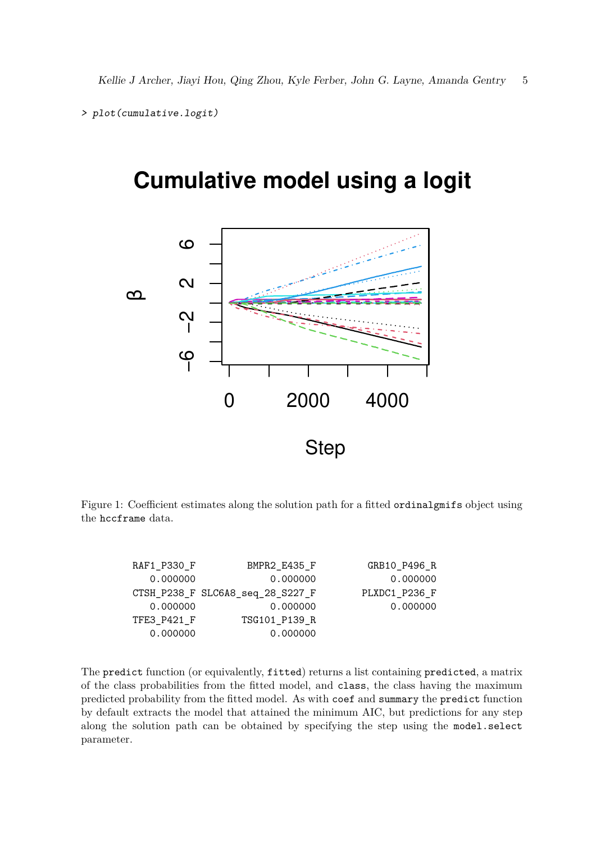```
> plot(cumulative.logit)
```
# **Cumulative model using a logit**



Figure 1: Coefficient estimates along the solution path for a fitted ordinalgmifs object using the hccframe data.

| RAF1_P330_F | BMPR2 E435 F                     | GRB10 P496 R  |
|-------------|----------------------------------|---------------|
| 0.000000    | 0.000000                         | 0.000000      |
|             | CTSH_P238_F SLC6A8_seq_28_S227_F | PLXDC1 P236 F |
| 0.000000    | 0.000000                         | 0.000000      |
| TFE3 P421 F | TSG101 P139 R                    |               |
| 0.000000    | 0.000000                         |               |

The predict function (or equivalently, fitted) returns a list containing predicted, a matrix of the class probabilities from the fitted model, and class, the class having the maximum predicted probability from the fitted model. As with coef and summary the predict function by default extracts the model that attained the minimum AIC, but predictions for any step along the solution path can be obtained by specifying the step using the model.select parameter.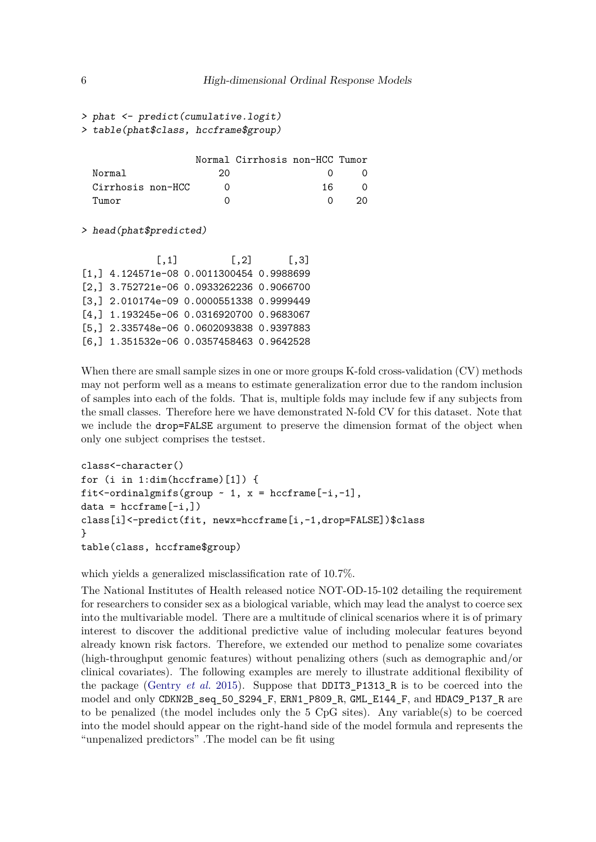```
> phat <- predict(cumulative.logit)
> table(phat$class, hccframe$group)
```

|                       |    | Normal Cirrhosis non-HCC Tumor |     |          |
|-----------------------|----|--------------------------------|-----|----------|
| Normal                | 20 |                                |     | ()       |
| Cirrhosis non-HCC     |    |                                | 16. | $\Omega$ |
| $T$ 11 $m$ $\alpha r$ |    |                                |     | 20.      |

> head(phat\$predicted)

| [0,1]                                      | $\left[ 1, 2 \right]$ | $\lceil .3 \rceil$ |
|--------------------------------------------|-----------------------|--------------------|
| $[1,]$ 4.124571e-08 0.0011300454 0.9988699 |                       |                    |
| $[2,]$ 3.752721e-06 0.0933262236 0.9066700 |                       |                    |
| [3,] 2.010174e-09 0.0000551338 0.9999449   |                       |                    |
| $[4,]$ 1.193245e-06 0.0316920700 0.9683067 |                       |                    |
| [5,] 2.335748e-06 0.0602093838 0.9397883   |                       |                    |
| $[6,]$ 1.351532e-06 0.0357458463 0.9642528 |                       |                    |

When there are small sample sizes in one or more groups K-fold cross-validation (CV) methods may not perform well as a means to estimate generalization error due to the random inclusion of samples into each of the folds. That is, multiple folds may include few if any subjects from the small classes. Therefore here we have demonstrated N-fold CV for this dataset. Note that we include the **drop=FALSE** argument to preserve the dimension format of the object when only one subject comprises the testset.

```
class<-character()
for (i in 1:dim(hccframe)[1]) {
fit<-ordinalgmifs(group \sim 1, x = hccframe[-i,-1],
data = hccframe[-i,])class[i]<-predict(fit, newx=hccframe[i,-1,drop=FALSE])$class
}
table(class, hccframe$group)
```
which yields a generalized misclassification rate of 10.7%.

The National Institutes of Health released notice NOT-OD-15-102 detailing the requirement for researchers to consider sex as a biological variable, which may lead the analyst to coerce sex into the multivariable model. There are a multitude of clinical scenarios where it is of primary interest to discover the additional predictive value of including molecular features beyond already known risk factors. Therefore, we extended our method to penalize some covariates (high-throughput genomic features) without penalizing others (such as demographic and/or clinical covariates). The following examples are merely to illustrate additional flexibility of the package [\(Gentry](#page-7-7) *et al.* [2015\)](#page-7-7). Suppose that DDIT3\_P1313\_R is to be coerced into the model and only CDKN2B\_seq\_50\_S294\_F, ERN1\_P809\_R, GML\_E144\_F, and HDAC9\_P137\_R are to be penalized (the model includes only the 5 CpG sites). Any variable(s) to be coerced into the model should appear on the right-hand side of the model formula and represents the "unpenalized predictors" .The model can be fit using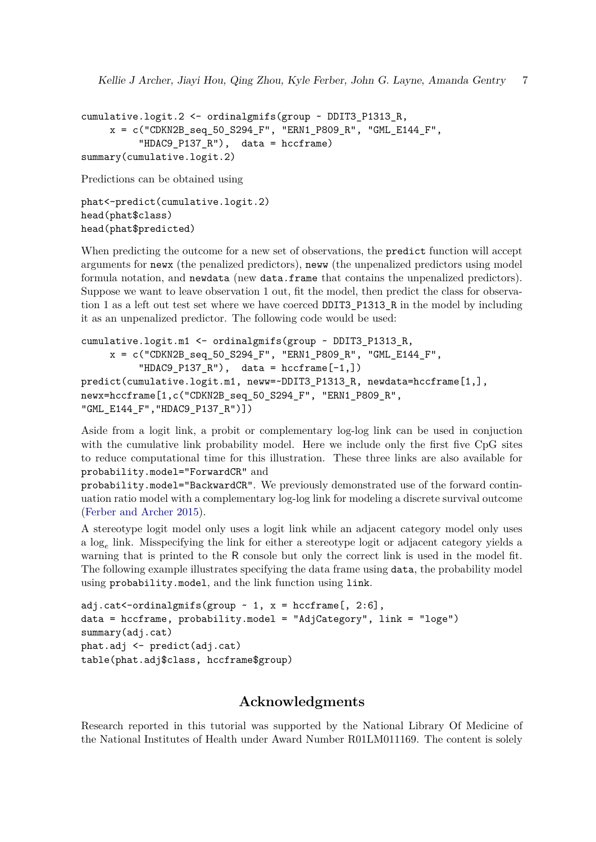```
cumulative.logit.2 <- ordinalgmifs(group ~ DDIT3_P1313_R,
    x = c("CDKN2B_seq_50_S294_F", "ERN1_P809_R", "GML_E144_F","HDAC9_P137_R"), data = hccframe)
summary(cumulative.logit.2)
```
Predictions can be obtained using

```
phat<-predict(cumulative.logit.2)
head(phat$class)
head(phat$predicted)
```
When predicting the outcome for a new set of observations, the predict function will accept arguments for newx (the penalized predictors), neww (the unpenalized predictors using model formula notation, and newdata (new data.frame that contains the unpenalized predictors). Suppose we want to leave observation 1 out, fit the model, then predict the class for observation 1 as a left out test set where we have coerced DDIT3\_P1313\_R in the model by including it as an unpenalized predictor. The following code would be used:

```
cumulative.logit.m1 <- ordinalgmifs(group ~ DDIT3_P1313_R,
    x = c("CDKN2B_seq_50_S294_F", "ERN1_P809_R", "GML_E144_F","HDAC9_P137_R"), data = hccframe[-1,])predict(cumulative.logit.m1, neww=~DDIT3_P1313_R, newdata=hccframe[1,],
newx=hccframe[1,c("CDKN2B_seq_50_S294_F", "ERN1_P809_R",
"GML_E144_F","HDAC9_P137_R")])
```
Aside from a logit link, a probit or complementary log-log link can be used in conjuction with the cumulative link probability model. Here we include only the first five CpG sites to reduce computational time for this illustration. These three links are also available for probability.model="ForwardCR" and

probability.model="BackwardCR". We previously demonstrated use of the forward continuation ratio model with a complementary log-log link for modeling a discrete survival outcome [\(Ferber and Archer 2015\)](#page-7-8).

A stereotype logit model only uses a logit link while an adjacent category model only uses a log*<sup>e</sup>* link. Misspecifying the link for either a stereotype logit or adjacent category yields a warning that is printed to the R console but only the correct link is used in the model fit. The following example illustrates specifying the data frame using data, the probability model using probability.model, and the link function using link.

```
adj.cat<-ordinalgmifs(group \sim 1, x = \text{hccframe}[, 2:6],
data = hccframe, probability.model = "AdjCategory", link = "loge")
summary(adj.cat)
phat.adj <- predict(adj.cat)
table(phat.adj$class, hccframe$group)
```
# **Acknowledgments**

Research reported in this tutorial was supported by the National Library Of Medicine of the National Institutes of Health under Award Number R01LM011169. The content is solely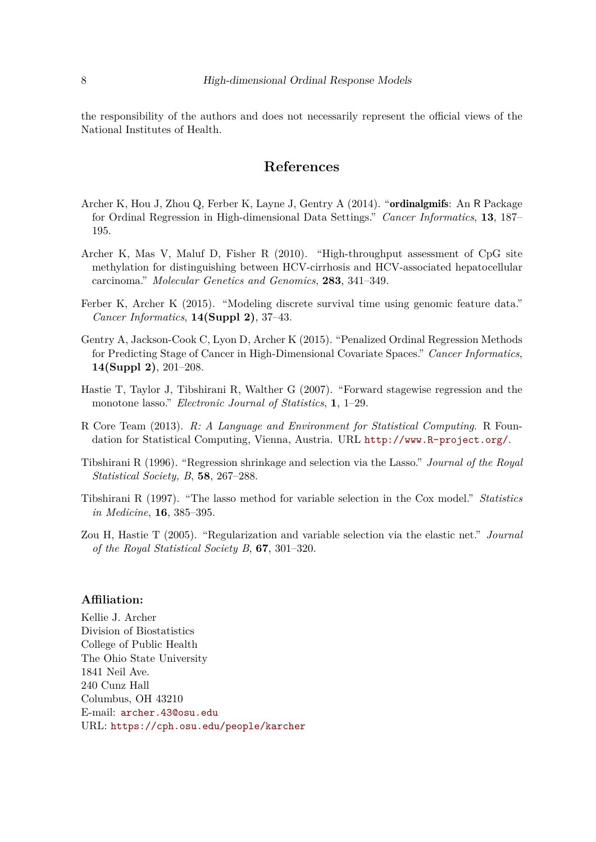the responsibility of the authors and does not necessarily represent the official views of the National Institutes of Health.

# **References**

- <span id="page-7-5"></span>Archer K, Hou J, Zhou Q, Ferber K, Layne J, Gentry A (2014). "ordinalgmifs: An R Package for Ordinal Regression in High-dimensional Data Settings." *Cancer Informatics*, **13**, 187– 195.
- <span id="page-7-0"></span>Archer K, Mas V, Maluf D, Fisher R (2010). "High-throughput assessment of CpG site methylation for distinguishing between HCV-cirrhosis and HCV-associated hepatocellular carcinoma." *Molecular Genetics and Genomics*, **283**, 341–349.
- <span id="page-7-8"></span>Ferber K, Archer K (2015). "Modeling discrete survival time using genomic feature data." *Cancer Informatics*, **14(Suppl 2)**, 37–43.
- <span id="page-7-7"></span>Gentry A, Jackson-Cook C, Lyon D, Archer K (2015). "Penalized Ordinal Regression Methods for Predicting Stage of Cancer in High-Dimensional Covariate Spaces." *Cancer Informatics*, **14(Suppl 2)**, 201–208.
- <span id="page-7-4"></span>Hastie T, Taylor J, Tibshirani R, Walther G (2007). "Forward stagewise regression and the monotone lasso." *Electronic Journal of Statistics*, **1**, 1–29.
- <span id="page-7-6"></span>R Core Team (2013). *R: A Language and Environment for Statistical Computing*. R Foundation for Statistical Computing, Vienna, Austria. URL <http://www.R-project.org/>.
- <span id="page-7-1"></span>Tibshirani R (1996). "Regression shrinkage and selection via the Lasso." *Journal of the Royal Statistical Society, B*, **58**, 267–288.
- <span id="page-7-2"></span>Tibshirani R (1997). "The lasso method for variable selection in the Cox model." *Statistics in Medicine*, **16**, 385–395.
- <span id="page-7-3"></span>Zou H, Hastie T (2005). "Regularization and variable selection via the elastic net." *Journal of the Royal Statistical Society B*, **67**, 301–320.

#### **Affiliation:**

Kellie J. Archer Division of Biostatistics College of Public Health The Ohio State University 1841 Neil Ave. 240 Cunz Hall Columbus, OH 43210 E-mail: [archer.43@osu.edu](mailto:archer.43@osu.edu) URL: <https://cph.osu.edu/people/karcher>